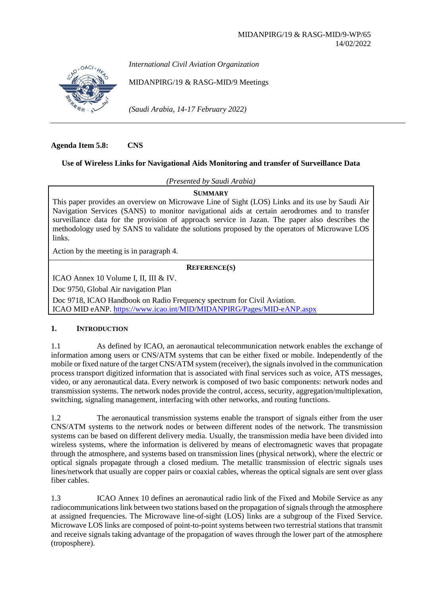

*International Civil Aviation Organization*

MIDANPIRG/19 & RASG-MID/9 Meetings

*(Saudi Arabia, 14-17 February 2022)*

**Agenda Item 5.8: CNS**

# **Use of Wireless Links for Navigational Aids Monitoring and transfer of Surveillance Data**

*(Presented by Saudi Arabia)*

**SUMMARY**

This paper provides an overview on Microwave Line of Sight (LOS) Links and its use by Saudi Air Navigation Services (SANS) to monitor navigational aids at certain aerodromes and to transfer surveillance data for the provision of approach service in Jazan. The paper also describes the methodology used by SANS to validate the solutions proposed by the operators of Microwave LOS links.

Action by the meeting is in paragraph 4.

# **REFERENCE(S)**

ICAO Annex 10 Volume I, II, III & IV.

Doc 9750, Global Air navigation Plan

Doc 9718, ICAO Handbook on Radio Frequency spectrum for Civil Aviation. ICAO MID eANP.<https://www.icao.int/MID/MIDANPIRG/Pages/MID-eANP.aspx>

## **1. INTRODUCTION**

1.1 As defined by ICAO, an aeronautical telecommunication network enables the exchange of information among users or CNS/ATM systems that can be either fixed or mobile. Independently of the mobile or fixed nature of the target CNS/ATM system (receiver), the signals involved in the communication process transport digitized information that is associated with final services such as voice, ATS messages, video, or any aeronautical data. Every network is composed of two basic components: network nodes and transmission systems. The network nodes provide the control, access, security, aggregation/multiplexation, switching, signaling management, interfacing with other networks, and routing functions.

1.2 The aeronautical transmission systems enable the transport of signals either from the user CNS/ATM systems to the network nodes or between different nodes of the network. The transmission systems can be based on different delivery media. Usually, the transmission media have been divided into wireless systems, where the information is delivered by means of electromagnetic waves that propagate through the atmosphere, and systems based on transmission lines (physical network), where the electric or optical signals propagate through a closed medium. The metallic transmission of electric signals uses lines/network that usually are copper pairs or coaxial cables, whereas the optical signals are sent over glass fiber cables.

1.3 ICAO Annex 10 defines an aeronautical radio link of the Fixed and Mobile Service as any radiocommunications link between two stations based on the propagation of signals through the atmosphere at assigned frequencies. The Microwave line-of-sight (LOS) links are a subgroup of the Fixed Service. Microwave LOS links are composed of point-to-point systems between two terrestrial stations that transmit and receive signals taking advantage of the propagation of waves through the lower part of the atmosphere (troposphere).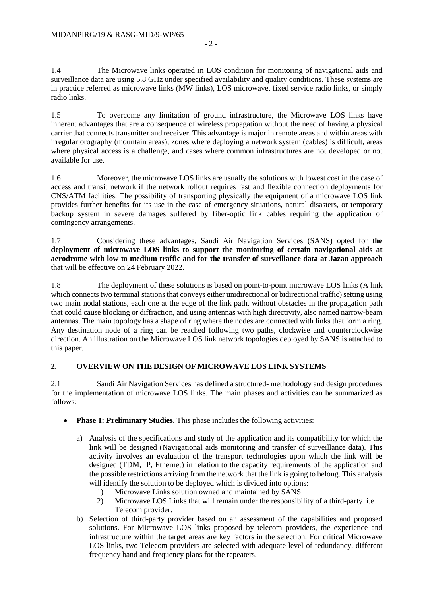1.4 The Microwave links operated in LOS condition for monitoring of navigational aids and surveillance data are using 5.8 GHz under specified availability and quality conditions. These systems are in practice referred as microwave links (MW links), LOS microwave, fixed service radio links, or simply radio links.

1.5 To overcome any limitation of ground infrastructure, the Microwave LOS links have inherent advantages that are a consequence of wireless propagation without the need of having a physical carrier that connects transmitter and receiver. This advantage is major in remote areas and within areas with irregular orography (mountain areas), zones where deploying a network system (cables) is difficult, areas where physical access is a challenge, and cases where common infrastructures are not developed or not available for use.

1.6 Moreover, the microwave LOS links are usually the solutions with lowest cost in the case of access and transit network if the network rollout requires fast and flexible connection deployments for CNS/ATM facilities. The possibility of transporting physically the equipment of a microwave LOS link provides further benefits for its use in the case of emergency situations, natural disasters, or temporary backup system in severe damages suffered by fiber-optic link cables requiring the application of contingency arrangements.

1.7 Considering these advantages, Saudi Air Navigation Services (SANS) opted for **the deployment of microwave LOS links to support the monitoring of certain navigational aids at aerodrome with low to medium traffic and for the transfer of surveillance data at Jazan approach** that will be effective on 24 February 2022.

1.8 The deployment of these solutions is based on point-to-point microwave LOS links (A link which connects two terminal stations that conveys either unidirectional or bidirectional traffic) setting using two main nodal stations, each one at the edge of the link path, without obstacles in the propagation path that could cause blocking or diffraction, and using antennas with high directivity, also named narrow-beam antennas. The main topology has a shape of ring where the nodes are connected with links that form a ring. Any destination node of a ring can be reached following two paths, clockwise and counterclockwise direction. An illustration on the Microwave LOS link network topologies deployed by SANS is attached to this paper.

# **2. OVERVIEW ON THE DESIGN OF MICROWAVE LOS LINK SYSTEMS**

2.1 Saudi Air Navigation Services has defined a structured- methodology and design procedures for the implementation of microwave LOS links. The main phases and activities can be summarized as follows:

- **Phase 1: Preliminary Studies.** This phase includes the following activities:
	- a) Analysis of the specifications and study of the application and its compatibility for which the link will be designed (Navigational aids monitoring and transfer of surveillance data). This activity involves an evaluation of the transport technologies upon which the link will be designed (TDM, IP, Ethernet) in relation to the capacity requirements of the application and the possible restrictions arriving from the network that the link is going to belong. This analysis will identify the solution to be deployed which is divided into options:
		- 1) Microwave Links solution owned and maintained by SANS
		- 2) Microwave LOS Links that will remain under the responsibility of a third-party i.e Telecom provider.
	- b) Selection of third-party provider based on an assessment of the capabilities and proposed solutions. For Microwave LOS links proposed by telecom providers, the experience and infrastructure within the target areas are key factors in the selection. For critical Microwave LOS links, two Telecom providers are selected with adequate level of redundancy, different frequency band and frequency plans for the repeaters.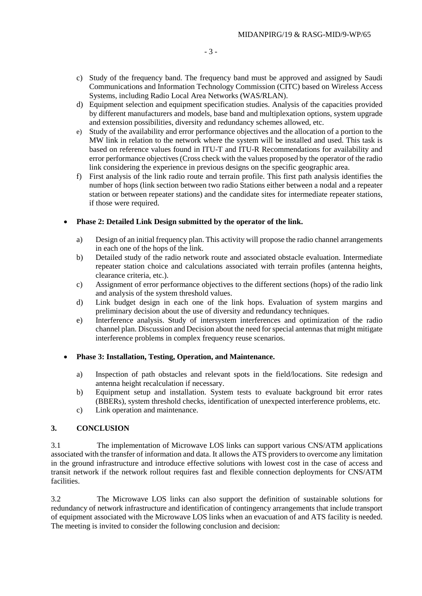- c) Study of the frequency band. The frequency band must be approved and assigned by Saudi Communications and Information Technology Commission (CITC) based on Wireless Access Systems, including Radio Local Area Networks (WAS/RLAN).
- d) Equipment selection and equipment specification studies. Analysis of the capacities provided by different manufacturers and models, base band and multiplexation options, system upgrade and extension possibilities, diversity and redundancy schemes allowed, etc.
- e) Study of the availability and error performance objectives and the allocation of a portion to the MW link in relation to the network where the system will be installed and used. This task is based on reference values found in ITU-T and ITU-R Recommendations for availability and error performance objectives (Cross check with the values proposed by the operator of the radio link considering the experience in previous designs on the specific geographic area.
- f) First analysis of the link radio route and terrain profile. This first path analysis identifies the number of hops (link section between two radio Stations either between a nodal and a repeater station or between repeater stations) and the candidate sites for intermediate repeater stations, if those were required.

## • **Phase 2: Detailed Link Design submitted by the operator of the link.**

- a) Design of an initial frequency plan. This activity will propose the radio channel arrangements in each one of the hops of the link.
- b) Detailed study of the radio network route and associated obstacle evaluation. Intermediate repeater station choice and calculations associated with terrain profiles (antenna heights, clearance criteria, etc.).
- c) Assignment of error performance objectives to the different sections (hops) of the radio link and analysis of the system threshold values.
- d) Link budget design in each one of the link hops. Evaluation of system margins and preliminary decision about the use of diversity and redundancy techniques.
- e) Interference analysis. Study of intersystem interferences and optimization of the radio channel plan. Discussion and Decision about the need for special antennas that might mitigate interference problems in complex frequency reuse scenarios.

## • **Phase 3: Installation, Testing, Operation, and Maintenance.**

- a) Inspection of path obstacles and relevant spots in the field/locations. Site redesign and antenna height recalculation if necessary.
- b) Equipment setup and installation. System tests to evaluate background bit error rates (BBERs), system threshold checks, identification of unexpected interference problems, etc.
- c) Link operation and maintenance.

## **3. CONCLUSION**

3.1 The implementation of Microwave LOS links can support various CNS/ATM applications associated with the transfer of information and data. It allows the ATS providers to overcome any limitation in the ground infrastructure and introduce effective solutions with lowest cost in the case of access and transit network if the network rollout requires fast and flexible connection deployments for CNS/ATM facilities.

3.2 The Microwave LOS links can also support the definition of sustainable solutions for redundancy of network infrastructure and identification of contingency arrangements that include transport of equipment associated with the Microwave LOS links when an evacuation of and ATS facility is needed. The meeting is invited to consider the following conclusion and decision: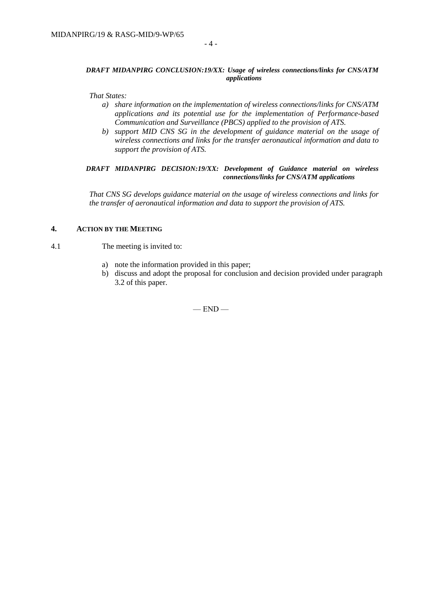#### *DRAFT MIDANPIRG CONCLUSION:19/XX: Usage of wireless connections/links for CNS/ATM applications*

*That States:*

- *a) share information on the implementation of wireless connections/links for CNS/ATM applications and its potential use for the implementation of Performance-based Communication and Surveillance (PBCS) applied to the provision of ATS.*
- *b) support MID CNS SG in the development of guidance material on the usage of wireless connections and links for the transfer aeronautical information and data to support the provision of ATS.*

#### *DRAFT MIDANPIRG DECISION:19/XX: Development of Guidance material on wireless connections/links for CNS/ATM applications*

*That CNS SG develops guidance material on the usage of wireless connections and links for the transfer of aeronautical information and data to support the provision of ATS.*

#### **4. ACTION BY THE MEETING**

#### 4.1 The meeting is invited to:

- a) note the information provided in this paper;
- b) discuss and adopt the proposal for conclusion and decision provided under paragraph 3.2 of this paper.

 $-$  END  $-$